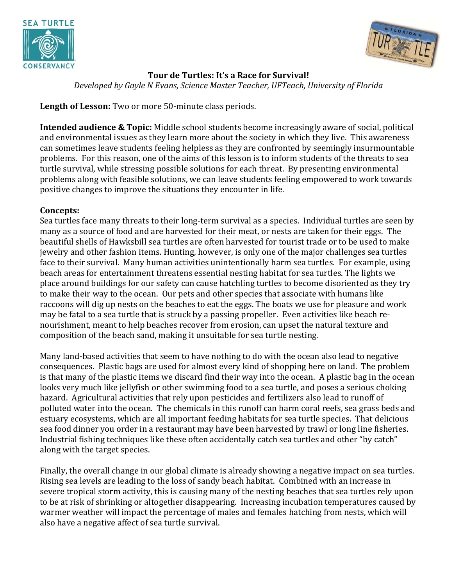



### **Tour de Turtles: It's a Race for Survival!**

*Developed by Gayle N Evans, Science Master Teacher, UFTeach, University of Florida*

**Length of Lesson:** Two or more 50-minute class periods.

**Intended audience & Topic:** Middle school students become increasingly aware of social, political and environmental issues as they learn more about the society in which they live. This awareness can sometimes leave students feeling helpless as they are confronted by seemingly insurmountable problems. For this reason, one of the aims of this lesson is to inform students of the threats to sea turtle survival, while stressing possible solutions for each threat. By presenting environmental problems along with feasible solutions, we can leave students feeling empowered to work towards positive changes to improve the situations they encounter in life.

### **Concepts:**

Sea turtles face many threats to their long-term survival as a species. Individual turtles are seen by many as a source of food and are harvested for their meat, or nests are taken for their eggs. The beautiful shells of Hawksbill sea turtles are often harvested for tourist trade or to be used to make jewelry and other fashion items. Hunting, however, is only one of the major challenges sea turtles face to their survival. Many human activities unintentionally harm sea turtles. For example, using beach areas for entertainment threatens essential nesting habitat for sea turtles. The lights we place around buildings for our safety can cause hatchling turtles to become disoriented as they try to make their way to the ocean. Our pets and other species that associate with humans like raccoons will dig up nests on the beaches to eat the eggs. The boats we use for pleasure and work may be fatal to a sea turtle that is struck by a passing propeller. Even activities like beach renourishment, meant to help beaches recover from erosion, can upset the natural texture and composition of the beach sand, making it unsuitable for sea turtle nesting.

Many land-based activities that seem to have nothing to do with the ocean also lead to negative consequences. Plastic bags are used for almost every kind of shopping here on land. The problem is that many of the plastic items we discard find their way into the ocean. A plastic bag in the ocean looks very much like jellyfish or other swimming food to a sea turtle, and poses a serious choking hazard. Agricultural activities that rely upon pesticides and fertilizers also lead to runoff of polluted water into the ocean. The chemicals in this runoff can harm coral reefs, sea grass beds and estuary ecosystems, which are all important feeding habitats for sea turtle species. That delicious sea food dinner you order in a restaurant may have been harvested by trawl or long line fisheries. Industrial fishing techniques like these often accidentally catch sea turtles and other "by catch" along with the target species.

Finally, the overall change in our global climate is already showing a negative impact on sea turtles. Rising sea levels are leading to the loss of sandy beach habitat. Combined with an increase in severe tropical storm activity, this is causing many of the nesting beaches that sea turtles rely upon to be at risk of shrinking or altogether disappearing. Increasing incubation temperatures caused by warmer weather will impact the percentage of males and females hatching from nests, which will also have a negative affect of sea turtle survival.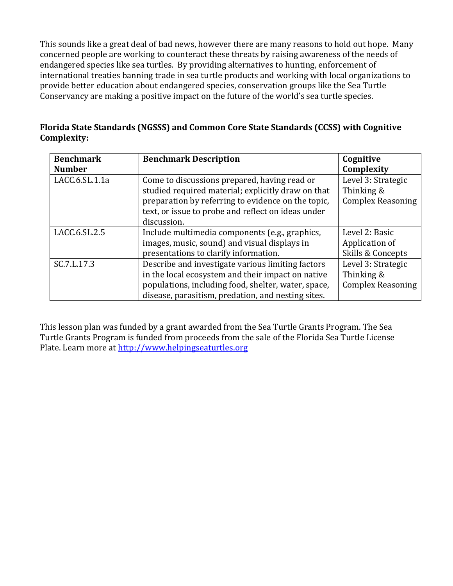This sounds like a great deal of bad news, however there are many reasons to hold out hope. Many concerned people are working to counteract these threats by raising awareness of the needs of endangered species like sea turtles. By providing alternatives to hunting, enforcement of international treaties banning trade in sea turtle products and working with local organizations to provide better education about endangered species, conservation groups like the Sea Turtle Conservancy are making a positive impact on the future of the world's sea turtle species.

| Florida State Standards (NGSSS) and Common Core State Standards (CCSS) with Cognitive |  |
|---------------------------------------------------------------------------------------|--|
| Complexity:                                                                           |  |

| <b>Benchmark</b> | <b>Benchmark Description</b>                                                                       | Cognitive                        |
|------------------|----------------------------------------------------------------------------------------------------|----------------------------------|
| <b>Number</b>    |                                                                                                    | Complexity                       |
| LACC.6.SL.1.1a   | Come to discussions prepared, having read or<br>studied required material; explicitly draw on that | Level 3: Strategic<br>Thinking & |
|                  | preparation by referring to evidence on the topic,                                                 | <b>Complex Reasoning</b>         |
|                  | text, or issue to probe and reflect on ideas under                                                 |                                  |
|                  | discussion.                                                                                        |                                  |
| LACC.6.SL.2.5    | Include multimedia components (e.g., graphics,                                                     | Level 2: Basic                   |
|                  | images, music, sound) and visual displays in                                                       | Application of                   |
|                  | presentations to clarify information.                                                              | Skills & Concepts                |
| SC.7.L.17.3      | Describe and investigate various limiting factors                                                  | Level 3: Strategic               |
|                  | in the local ecosystem and their impact on native                                                  | Thinking &                       |
|                  | populations, including food, shelter, water, space,                                                | <b>Complex Reasoning</b>         |
|                  | disease, parasitism, predation, and nesting sites.                                                 |                                  |

This lesson plan was funded by a grant awarded from the Sea Turtle Grants Program. The Sea Turtle Grants Program is funded from proceeds from the sale of the Florida Sea Turtle License Plate. Learn more at http://www.helpingseaturtles.org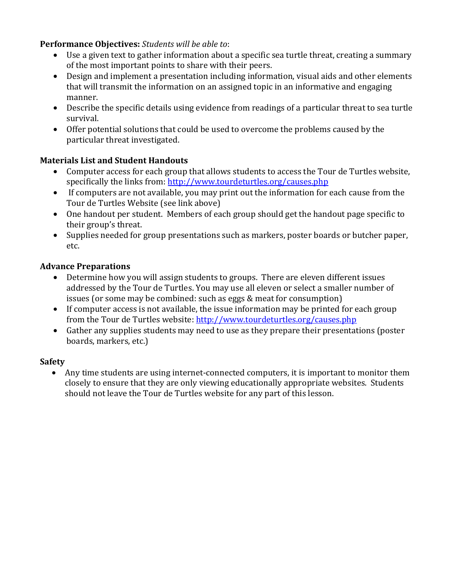### **Performance Objectives:** *Students will be able to*:

- Use a given text to gather information about a specific sea turtle threat, creating a summary of the most important points to share with their peers.
- Design and implement a presentation including information, visual aids and other elements that will transmit the information on an assigned topic in an informative and engaging manner.
- Describe the specific details using evidence from readings of a particular threat to sea turtle survival.
- Offer potential solutions that could be used to overcome the problems caused by the particular threat investigated.

### **Materials List and Student Handouts**

- Computer access for each group that allows students to access the Tour de Turtles website, specifically the links from: http://www.tourdeturtles.org/causes.php
- If computers are not available, you may print out the information for each cause from the Tour de Turtles Website (see link above)
- One handout per student. Members of each group should get the handout page specific to their group's threat.
- Supplies needed for group presentations such as markers, poster boards or butcher paper, etc.

### **Advance Preparations**

- Determine how you will assign students to groups. There are eleven different issues addressed by the Tour de Turtles. You may use all eleven or select a smaller number of issues (or some may be combined: such as eggs & meat for consumption)
- If computer access is not available, the issue information may be printed for each group from the Tour de Turtles website: http://www.tourdeturtles.org/causes.php
- Gather any supplies students may need to use as they prepare their presentations (poster boards, markers, etc.)

### **Safety**

• Any time students are using internet-connected computers, it is important to monitor them closely to ensure that they are only viewing educationally appropriate websites. Students should not leave the Tour de Turtles website for any part of this lesson.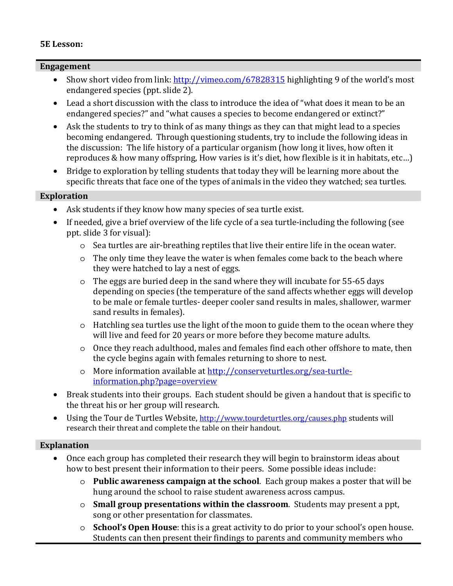### **5E Lesson:**

### **Engagement**

- Show short video from link: http://vimeo.com/67828315 highlighting 9 of the world's most endangered species (ppt. slide 2).
- Lead a short discussion with the class to introduce the idea of "what does it mean to be an endangered species?" and "what causes a species to become endangered or extinct?"
- Ask the students to try to think of as many things as they can that might lead to a species becoming endangered. Through questioning students, try to include the following ideas in the discussion: The life history of a particular organism (how long it lives, how often it reproduces & how many offspring, How varies is it's diet, how flexible is it in habitats, etc…)
- Bridge to exploration by telling students that today they will be learning more about the specific threats that face one of the types of animals in the video they watched; sea turtles.

### **Exploration**

- Ask students if they know how many species of sea turtle exist.
- If needed, give a brief overview of the life cycle of a sea turtle-including the following (see ppt. slide 3 for visual):
	- o Sea turtles are air-breathing reptiles that live their entire life in the ocean water.
	- o The only time they leave the water is when females come back to the beach where they were hatched to lay a nest of eggs.
	- o The eggs are buried deep in the sand where they will incubate for 55-65 days depending on species (the temperature of the sand affects whether eggs will develop to be male or female turtles- deeper cooler sand results in males, shallower, warmer sand results in females).
	- o Hatchling sea turtles use the light of the moon to guide them to the ocean where they will live and feed for 20 years or more before they become mature adults.
	- o Once they reach adulthood, males and females find each other offshore to mate, then the cycle begins again with females returning to shore to nest.
	- o More information available at http://conserveturtles.org/sea-turtleinformation.php?page=overview
- Break students into their groups. Each student should be given a handout that is specific to the threat his or her group will research.
- Using the Tour de Turtles Website, http://www.tourdeturtles.org/causes.php students will research their threat and complete the table on their handout.

### **Explanation**

- Once each group has completed their research they will begin to brainstorm ideas about how to best present their information to their peers. Some possible ideas include:
	- o **Public awareness campaign at the school**. Each group makes a poster that will be hung around the school to raise student awareness across campus.
	- o **Small group presentations within the classroom**. Students may present a ppt, song or other presentation for classmates.
	- o **School's Open House**: this is a great activity to do prior to your school's open house. Students can then present their findings to parents and community members who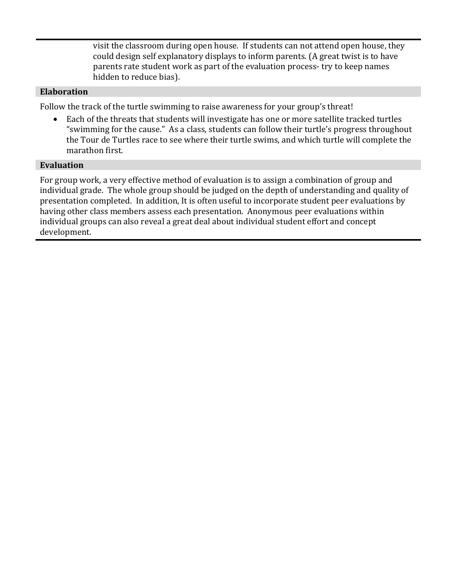visit the classroom during open house. If students can not attend open house, they could design self explanatory displays to inform parents. (A great twist is to have parents rate student work as part of the evaluation process- try to keep names hidden to reduce bias).

### **Elaboration**

Follow the track of the turtle swimming to raise awareness for your group's threat!

• Each of the threats that students will investigate has one or more satellite tracked turtles "swimming for the cause." As a class, students can follow their turtle's progress throughout the Tour de Turtles race to see where their turtle swims, and which turtle will complete the marathon first.

### **Evaluation**

For group work, a very effective method of evaluation is to assign a combination of group and individual grade. The whole group should be judged on the depth of understanding and quality of presentation completed. In addition, It is often useful to incorporate student peer evaluations by having other class members assess each presentation. Anonymous peer evaluations within individual groups can also reveal a great deal about individual student effort and concept development.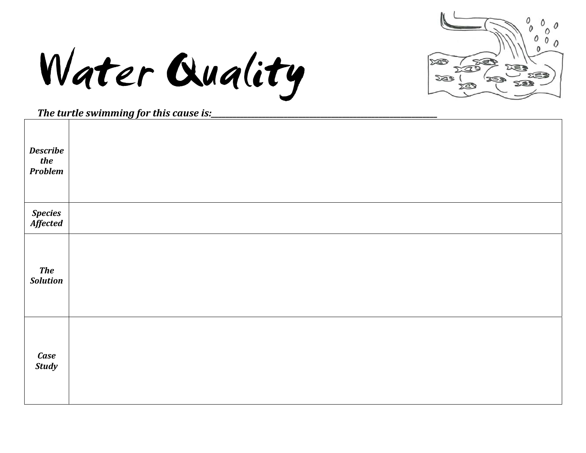

Water Quality

|                                   | The tar the swimming for this cause isi_ |
|-----------------------------------|------------------------------------------|
| <b>Describe</b><br>the<br>Problem |                                          |
| Species<br>Affected               |                                          |
| The<br>Solution                   |                                          |
| Case<br>Study                     |                                          |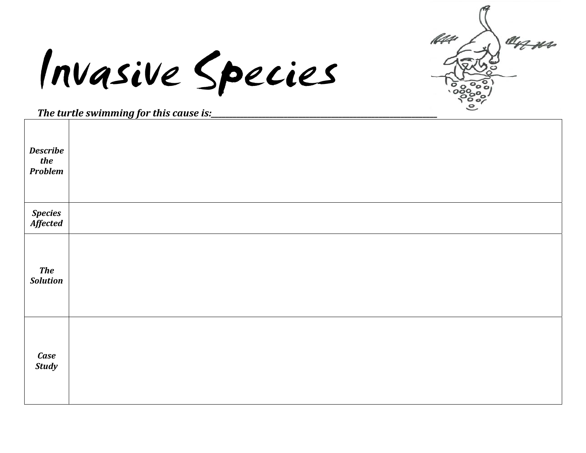144 an us

Invasive Species

|                                   | <u>The turne swimming for this cause is.</u> |
|-----------------------------------|----------------------------------------------|
| <b>Describe</b><br>the<br>Problem |                                              |
| <b>Species<br/>Affected</b>       |                                              |
| <b>The</b><br><b>Solution</b>     |                                              |
| Case<br>Study                     |                                              |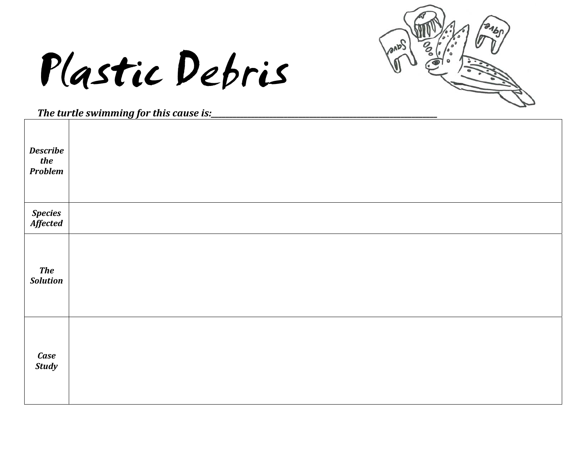

### Plastic Debris

| <b>Describe</b><br>the<br><b>Problem</b> |  |
|------------------------------------------|--|
| Species<br>Affected                      |  |
| <b>The</b><br><b>Solution</b>            |  |
| Case<br>Study                            |  |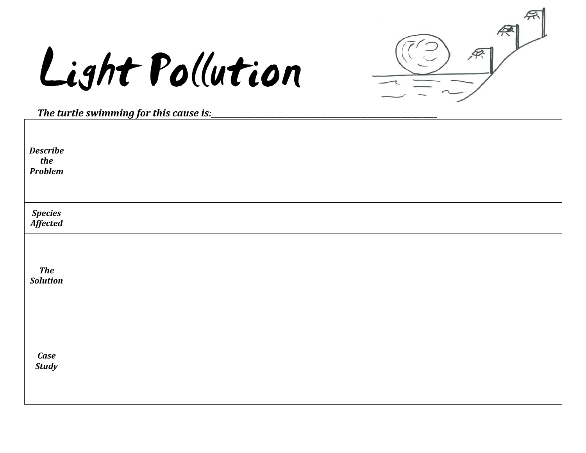## Light Pollution



| <b>Describe</b><br>the<br>Problem |  |
|-----------------------------------|--|
| Species<br>Affected               |  |
| <b>The</b><br><b>Solution</b>     |  |
| Case<br><b>Study</b>              |  |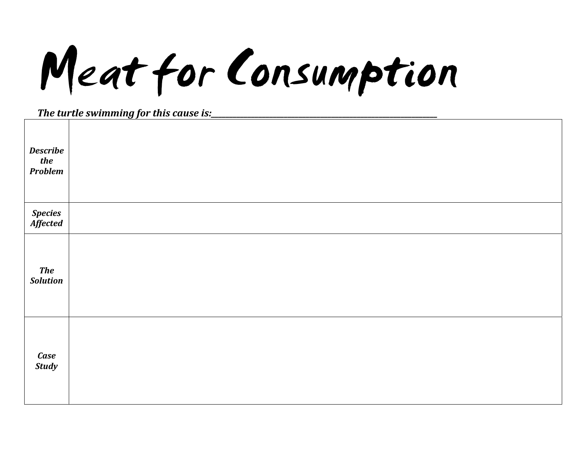Meat for Consumption

| <b>Describe</b><br>the<br><b>Problem</b> |  |
|------------------------------------------|--|
| Species<br>Affected                      |  |
| <b>The</b><br><b>Solution</b>            |  |
| Case<br>Study                            |  |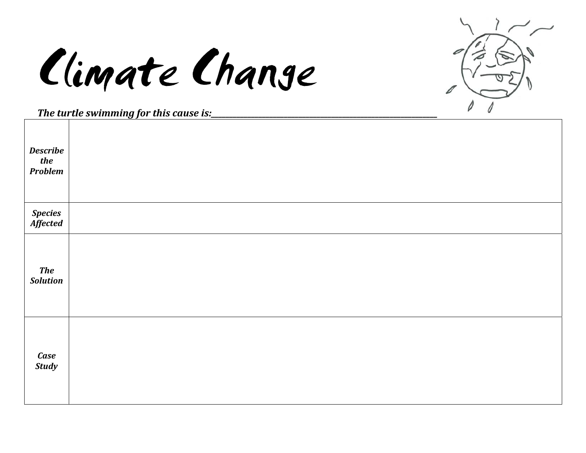## Climate Change



| <b>Describe</b><br>the<br>Problem |  |
|-----------------------------------|--|
| Species<br>Affected               |  |
| <b>The</b><br><b>Solution</b>     |  |
| Case<br>Study                     |  |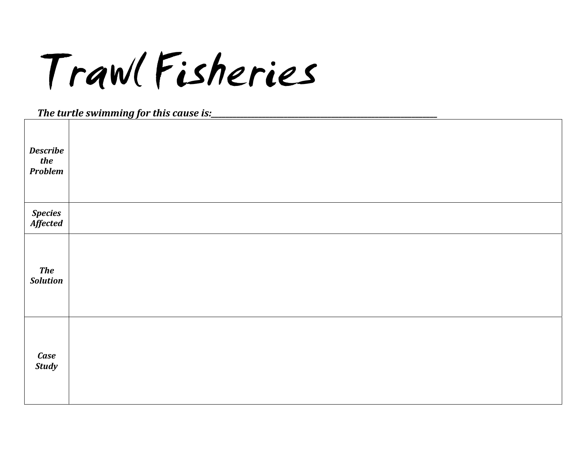Trawl Fisheries

| <b>Describe</b><br>the<br>Problem |  |
|-----------------------------------|--|
| Species<br>Affected               |  |
| <b>The</b><br><b>Solution</b>     |  |
| Case<br>Study                     |  |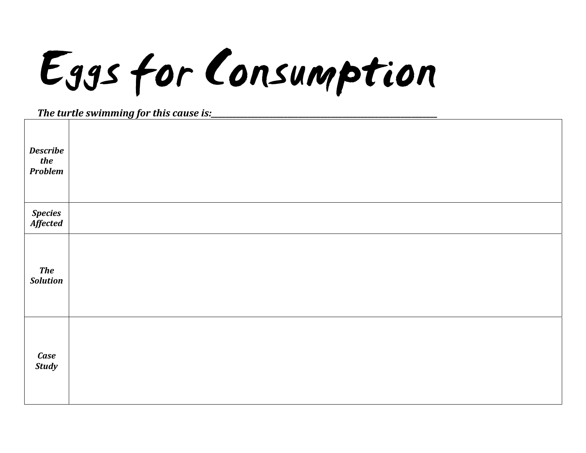# Eggs for Consumption

| <b>Describe</b><br>the<br>Problem |  |
|-----------------------------------|--|
| Species<br>Affected               |  |
| <b>The</b><br><b>Solution</b>     |  |
| Case<br>Study                     |  |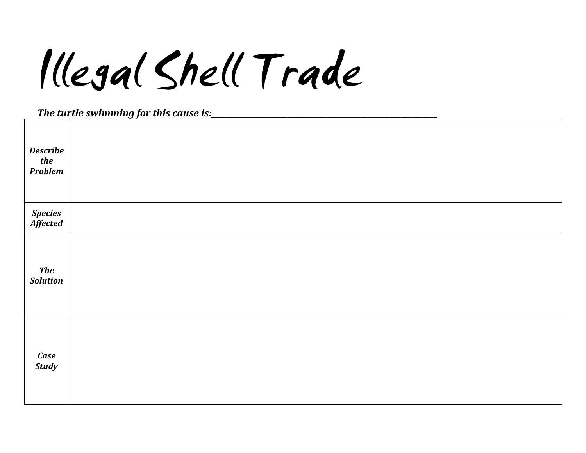### Illegal Shell Trade

| <b>Describe</b><br>the<br>Problem |  |
|-----------------------------------|--|
| Species<br>Affected               |  |
| <b>The</b><br><b>Solution</b>     |  |
| Case<br>Study                     |  |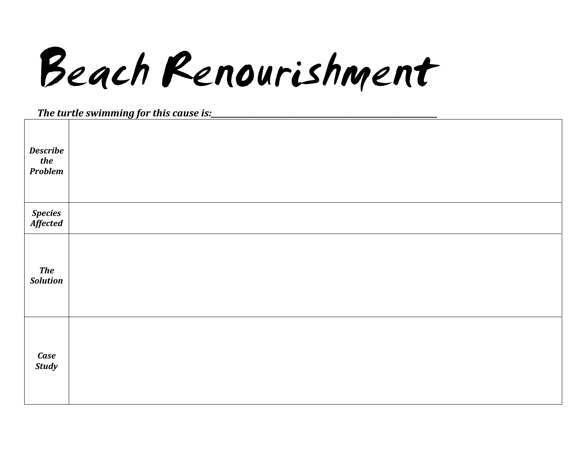Beach Renourishment

| <b>Describe</b><br>the<br>Problem |  |
|-----------------------------------|--|
| Species<br>Affected               |  |
| <b>The</b><br><b>Solution</b>     |  |
| Case<br>Study                     |  |